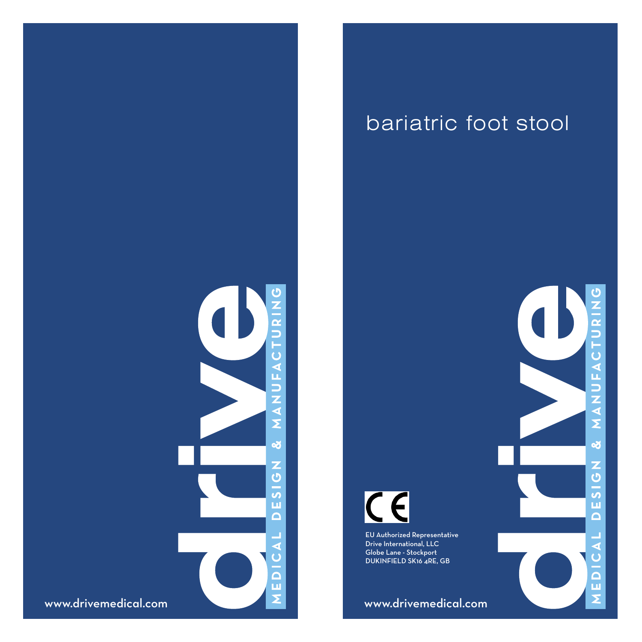

## bariatric foot stool



EU Authorized Representative Drive International, LLC Globe Lane - Stockport DUKINFIELD SK16 4RE, GB

www.drivemedical.com